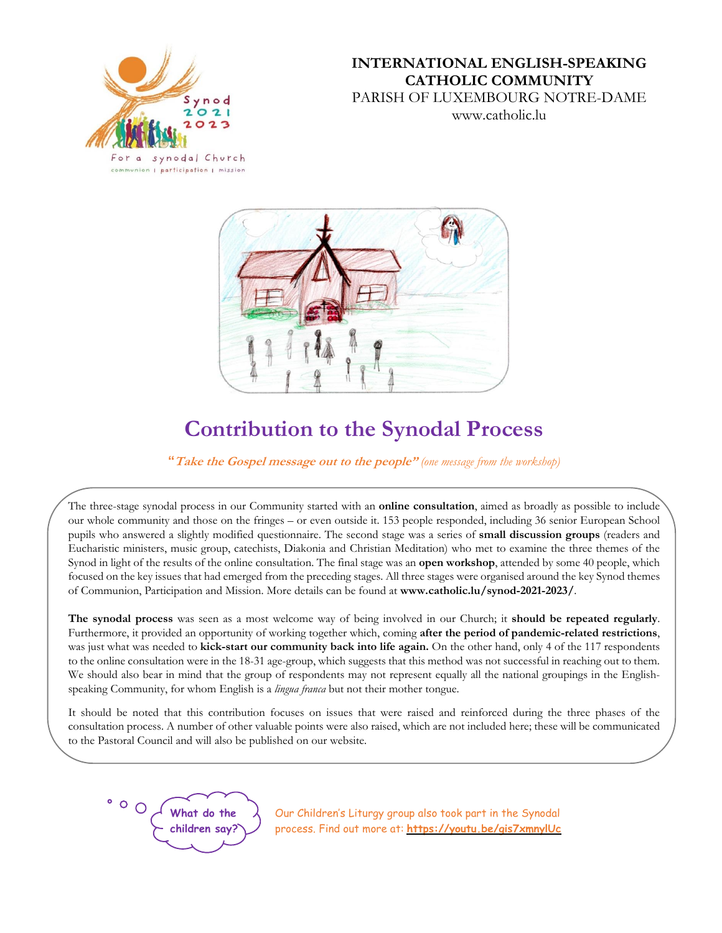

# **INTERNATIONAL ENGLISH-SPEAKING CATHOLIC COMMUNITY** PARISH OF LUXEMBOURG NOTRE-DAME www.catholic.lu



# **Contribution to the Synodal Process**

**"Take the Gospel message out to the people"** *(one message from the workshop)*

The three-stage synodal process in our Community started with an **online consultation**, aimed as broadly as possible to include our whole community and those on the fringes – or even outside it. 153 people responded, including 36 senior European School pupils who answered a slightly modified questionnaire. The second stage was a series of **small discussion groups** (readers and Eucharistic ministers, music group, catechists, Diakonia and Christian Meditation) who met to examine the three themes of the Synod in light of the results of the online consultation. The final stage was an **open workshop**, attended by some 40 people, which focused on the key issues that had emerged from the preceding stages. All three stages were organised around the key Synod themes of Communion, Participation and Mission. More details can be found at **www.catholic.lu/synod-2021-2023/**.

**The synodal process** was seen as a most welcome way of being involved in our Church; it **should be repeated regularly**. Furthermore, it provided an opportunity of working together which, coming **after the period of pandemic-related restrictions**, was just what was needed to **kick-start our community back into life again.** On the other hand, only 4 of the 117 respondents to the online consultation were in the 18-31 age-group, which suggests that this method was not successful in reaching out to them. We should also bear in mind that the group of respondents may not represent equally all the national groupings in the Englishspeaking Community, for whom English is a *lingua franca* but not their mother tongue.

It should be noted that this contribution focuses on issues that were raised and reinforced during the three phases of the consultation process. A number of other valuable points were also raised, which are not included here; these will be communicated to the Pastoral Council and will also be published on our website.



Our Children's Liturgy group also took part in the Synodal process. Find out more at: **<https://youtu.be/gis7xmnylUc>**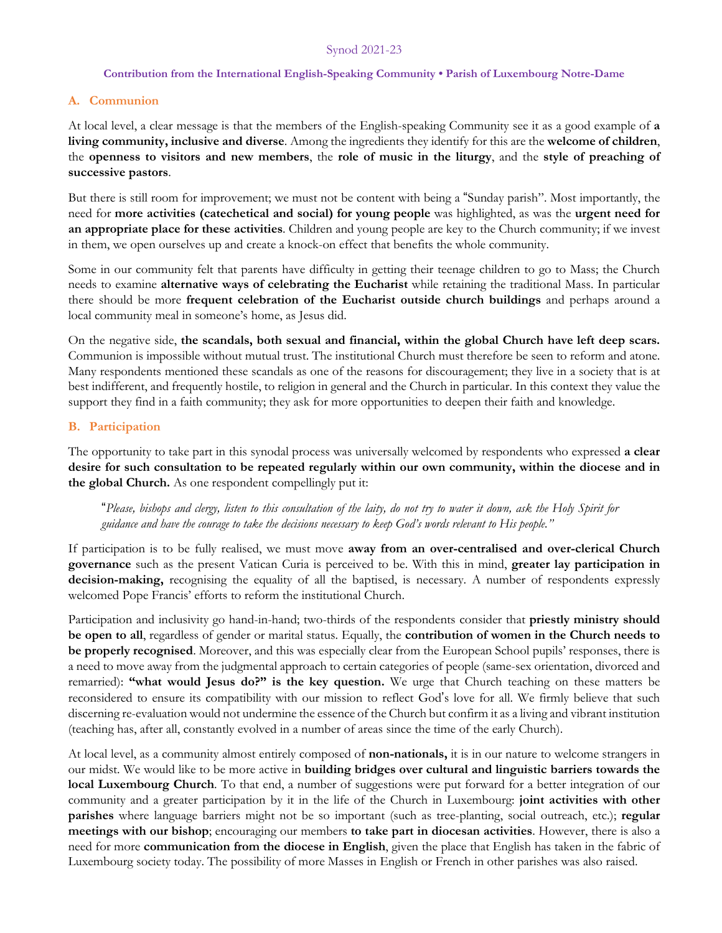# Synod 2021-23

#### **Contribution from the International English-Speaking Community • Parish of Luxembourg Notre-Dame**

#### **A. Communion**

At local level, a clear message is that the members of the English-speaking Community see it as a good example of **a living community, inclusive and diverse**. Among the ingredients they identify for this are the **welcome of children**, the **openness to visitors and new members**, the **role of music in the liturgy**, and the **style of preaching of successive pastors**.

But there is still room for improvement; we must not be content with being a "Sunday parish". Most importantly, the need for **more activities (catechetical and social) for young people** was highlighted, as was the **urgent need for an appropriate place for these activities**. Children and young people are key to the Church community; if we invest in them, we open ourselves up and create a knock-on effect that benefits the whole community.

Some in our community felt that parents have difficulty in getting their teenage children to go to Mass; the Church needs to examine **alternative ways of celebrating the Eucharist** while retaining the traditional Mass. In particular there should be more **frequent celebration of the Eucharist outside church buildings** and perhaps around a local community meal in someone's home, as Jesus did.

On the negative side, **the scandals, both sexual and financial, within the global Church have left deep scars.** Communion is impossible without mutual trust. The institutional Church must therefore be seen to reform and atone. Many respondents mentioned these scandals as one of the reasons for discouragement; they live in a society that is at best indifferent, and frequently hostile, to religion in general and the Church in particular. In this context they value the support they find in a faith community; they ask for more opportunities to deepen their faith and knowledge.

## **B. Participation**

The opportunity to take part in this synodal process was universally welcomed by respondents who expressed **a clear desire for such consultation to be repeated regularly within our own community, within the diocese and in the global Church.** As one respondent compellingly put it:

"Please, bishops and clergy, listen to this consultation of the laity, do not try to water it down, ask the Holy Spirit for guidance and have the courage to take the decisions necessary to keep God's words relevant to His people."

If participation is to be fully realised, we must move **away from an over-centralised and over-clerical Church governance** such as the present Vatican Curia is perceived to be. With this in mind, **greater lay participation in decision-making,** recognising the equality of all the baptised, is necessary. A number of respondents expressly welcomed Pope Francis' efforts to reform the institutional Church.

Participation and inclusivity go hand-in-hand; two-thirds of the respondents consider that **priestly ministry should be open to all**, regardless of gender or marital status. Equally, the **contribution of women in the Church needs to be properly recognised**. Moreover, and this was especially clear from the European School pupils' responses, there is a need to move away from the judgmental approach to certain categories of people (same-sex orientation, divorced and remarried): **"what would Jesus do?" is the key question.** We urge that Church teaching on these matters be reconsidered to ensure its compatibility with our mission to reflect God's love for all. We firmly believe that such discerning re-evaluation would not undermine the essence of the Church but confirm it as a living and vibrant institution (teaching has, after all, constantly evolved in a number of areas since the time of the early Church).

At local level, as a community almost entirely composed of **non-nationals,** it is in our nature to welcome strangers in our midst. We would like to be more active in **building bridges over cultural and linguistic barriers towards the local Luxembourg Church**. To that end, a number of suggestions were put forward for a better integration of our community and a greater participation by it in the life of the Church in Luxembourg: **joint activities with other parishes** where language barriers might not be so important (such as tree-planting, social outreach, etc.); **regular meetings with our bishop**; encouraging our members **to take part in diocesan activities**. However, there is also a need for more **communication from the diocese in English**, given the place that English has taken in the fabric of Luxembourg society today. The possibility of more Masses in English or French in other parishes was also raised.